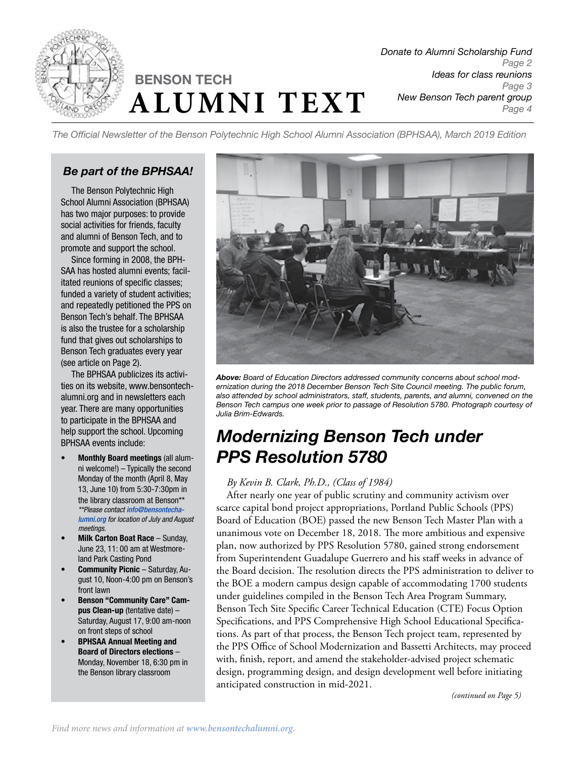

# **ALUMNI TEXT BENSON TECH**

*Donate to Alumni Scholarship Fund Page 2 Ideas for class reunions Page 3 New Benson Tech parent group Page 4*

*The Official Newsletter of the Benson Polytechnic High School Alumni Association (BPHSAA), March 2019 Edition*

## *Be part of the BPHSAA!*

The Benson Polytechnic High School Alumni Association (BPHSAA) has two major purposes: to provide social activities for friends, faculty and alumni of Benson Tech, and to promote and support the school.

Since forming in 2008, the BPH-SAA has hosted alumni events; facilitated reunions of specific classes; funded a variety of student activities; and repeatedly petitioned the PPS on Benson Tech's behalf. The BPHSAA is also the trustee for a scholarship fund that gives out scholarships to Benson Tech graduates every year (see article on Page 2).

The BPHSAA publicizes its activities on its website, www.bensontechalumni.org and in newsletters each year. There are many opportunities to participate in the BPHSAA and help support the school. Upcoming BPHSAA events include:

- Monthly Board meetings (all alumni welcome!) – Typically the second Monday of the month (April 8, May 13, June 10) from 5:30-7:30pm in the library classroom at Benson\*\* *\*\*Please contact [info@bensontecha](mailto:info%40bensontechalumni.org?subject=)[lumni.org](mailto:info%40bensontechalumni.org?subject=) for location of July and August meetings.*
- **Milk Carton Boat Race Sunday,** June 23, 11: 00 am at Westmoreland Park Casting Pond
- **Community Picnic Saturday, Au**gust 10, Noon-4:00 pm on Benson's front lawn
- Benson "Community Care" Campus Clean-up (tentative date) – Saturday, August 17, 9:00 am-noon on front steps of school
- **BPHSAA Annual Meeting and** Board of Directors elections – Monday, November 18, 6:30 pm in the Benson library classroom



*Above: Board of Education Directors addressed community concerns about school modernization during the 2018 December Benson Tech Site Council meeting. The public forum, also attended by school administrators, staff, students, parents, and alumni, convened on the Benson Tech campus one week prior to passage of Resolution 5780. Photograph courtesy of Julia Brim-Edwards.*

## *Modernizing Benson Tech under PPS Resolution 5780*

#### *By Kevin B. Clark, Ph.D., (Class of 1984)*

After nearly one year of public scrutiny and community activism over scarce capital bond project appropriations, Portland Public Schools (PPS) Board of Education (BOE) passed the new Benson Tech Master Plan with a unanimous vote on December 18, 2018. The more ambitious and expensive plan, now authorized by PPS Resolution 5780, gained strong endorsement from Superintendent Guadalupe Guerrero and his staff weeks in advance of the Board decision. The resolution directs the PPS administration to deliver to the BOE a modern campus design capable of accommodating 1700 students under guidelines compiled in the Benson Tech Area Program Summary, Benson Tech Site Specific Career Technical Education (CTE) Focus Option Specifications, and PPS Comprehensive High School Educational Specifications. As part of that process, the Benson Tech project team, represented by the PPS Office of School Modernization and Bassetti Architects, may proceed with, finish, report, and amend the stakeholder-advised project schematic design, programming design, and design development well before initiating anticipated construction in mid-2021.

*(continued on Page 5)*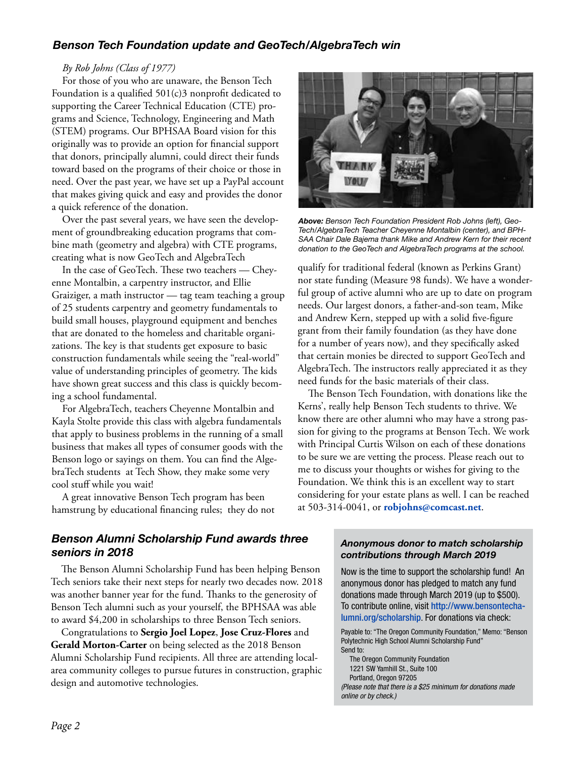## *Benson Tech Foundation update and GeoTech/AlgebraTech win*

#### *By Rob Johns (Class of 1977)*

For those of you who are unaware, the Benson Tech Foundation is a qualified 501(c)3 nonprofit dedicated to supporting the Career Technical Education (CTE) programs and Science, Technology, Engineering and Math (STEM) programs. Our BPHSAA Board vision for this originally was to provide an option for financial support that donors, principally alumni, could direct their funds toward based on the programs of their choice or those in need. Over the past year, we have set up a PayPal account that makes giving quick and easy and provides the donor a quick reference of the donation.

Over the past several years, we have seen the development of groundbreaking education programs that combine math (geometry and algebra) with CTE programs, creating what is now GeoTech and AlgebraTech

In the case of GeoTech. These two teachers — Cheyenne Montalbin, a carpentry instructor, and Ellie Graiziger, a math instructor — tag team teaching a group of 25 students carpentry and geometry fundamentals to build small houses, playground equipment and benches that are donated to the homeless and charitable organizations. The key is that students get exposure to basic construction fundamentals while seeing the "real-world" value of understanding principles of geometry. The kids have shown great success and this class is quickly becoming a school fundamental.

For AlgebraTech, teachers Cheyenne Montalbin and Kayla Stolte provide this class with algebra fundamentals that apply to business problems in the running of a small business that makes all types of consumer goods with the Benson logo or sayings on them. You can find the AlgebraTech students at Tech Show, they make some very cool stuff while you wait!

A great innovative Benson Tech program has been hamstrung by educational financing rules; they do not



*Above: Benson Tech Foundation President Rob Johns (left), Geo-Tech/AlgebraTech Teacher Cheyenne Montalbin (center), and BPH-SAA Chair Dale Bajema thank Mike and Andrew Kern for their recent donation to the GeoTech and AlgebraTech programs at the school.*

qualify for traditional federal (known as Perkins Grant) nor state funding (Measure 98 funds). We have a wonderful group of active alumni who are up to date on program needs. Our largest donors, a father-and-son team, Mike and Andrew Kern, stepped up with a solid five-figure grant from their family foundation (as they have done for a number of years now), and they specifically asked that certain monies be directed to support GeoTech and AlgebraTech. The instructors really appreciated it as they need funds for the basic materials of their class.

The Benson Tech Foundation, with donations like the Kerns', really help Benson Tech students to thrive. We know there are other alumni who may have a strong passion for giving to the programs at Benson Tech. We work with Principal Curtis Wilson on each of these donations to be sure we are vetting the process. Please reach out to me to discuss your thoughts or wishes for giving to the Foundation. We think this is an excellent way to start considering for your estate plans as well. I can be reached at 503-314-0041, or **robjohns@comcast.net**.

#### *Benson Alumni Scholarship Fund awards three seniors in 2018*

The Benson Alumni Scholarship Fund has been helping Benson Tech seniors take their next steps for nearly two decades now. 2018 was another banner year for the fund. Thanks to the generosity of Benson Tech alumni such as your yourself, the BPHSAA was able to award \$4,200 in scholarships to three Benson Tech seniors.

Congratulations to **Sergio Joel Lopez**, **Jose Cruz-Flores** and **Gerald Morton-Carter** on being selected as the 2018 Benson Alumni Scholarship Fund recipients. All three are attending localarea community colleges to pursue futures in construction, graphic design and automotive technologies.

#### *Anonymous donor to match scholarship contributions through March 2019*

Now is the time to support the scholarship fund! An anonymous donor has pledged to match any fund donations made through March 2019 (up to \$500). To contribute online, visit [http://www.bensontecha](http://www.bensontechalumni.org/scholarship)[lumni.org/scholarship](http://www.bensontechalumni.org/scholarship). For donations via check:

Payable to: "The Oregon Community Foundation," Memo: "Benson Polytechnic High School Alumni Scholarship Fund" Send to:

The Oregon Community Foundation 1221 SW Yamhill St., Suite 100 Portland, Oregon 97205

*(Please note that there is a \$25 minimum for donations made online or by check.)*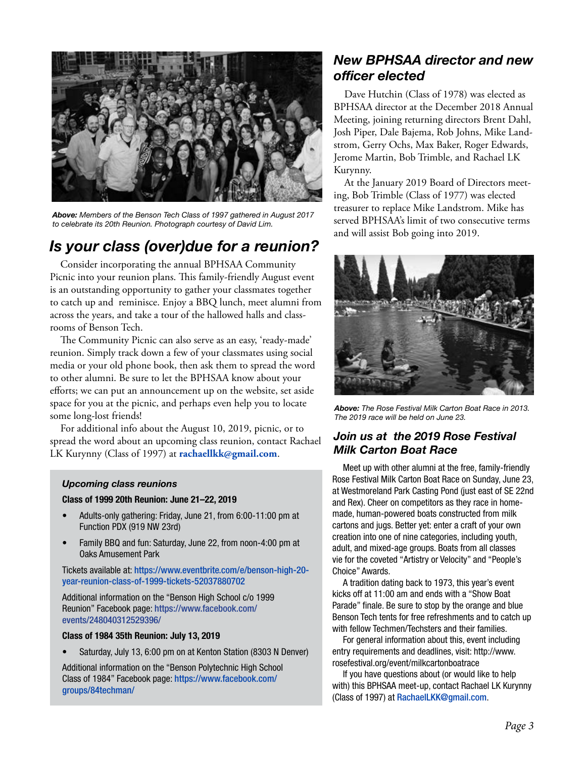

*Above: Members of the Benson Tech Class of 1997 gathered in August 2017 to celebrate its 20th Reunion. Photograph courtesy of David Lim.*

## *Is your class (over)due for a reunion?*

Consider incorporating the annual BPHSAA Community Picnic into your reunion plans. This family-friendly August event is an outstanding opportunity to gather your classmates together to catch up and reminisce. Enjoy a BBQ lunch, meet alumni from across the years, and take a tour of the hallowed halls and classrooms of Benson Tech.

The Community Picnic can also serve as an easy, 'ready-made' reunion. Simply track down a few of your classmates using social media or your old phone book, then ask them to spread the word to other alumni. Be sure to let the BPHSAA know about your efforts; we can put an announcement up on the website, set aside space for you at the picnic, and perhaps even help you to locate some long-lost friends!

For additional info about the August 10, 2019, picnic, or to spread the word about an upcoming class reunion, contact Rachael LK Kurynny (Class of 1997) at **[rachaellkk@gmail.com](mailto:rachaellkk%40gmail.com?subject=)**.

#### *Upcoming class reunions*

#### Class of 1999 20th Reunion: June 21–22, 2019

- Adults-only gathering: Friday, June 21, from 6:00-11:00 pm at Function PDX (919 NW 23rd)
- Family BBQ and fun: Saturday, June 22, from noon-4:00 pm at Oaks Amusement Park

Tickets available at: [https://www.eventbrite.com/e/benson-high-20](https://www.eventbrite.com/e/benson-high-20-year-reunion-class-of-1999-tickets-52037880702) [year-reunion-class-of-1999-tickets-52037880702](https://www.eventbrite.com/e/benson-high-20-year-reunion-class-of-1999-tickets-52037880702)

Additional information on the "Benson High School c/o 1999 Reunion" Facebook page: [https://www.facebook.com/](https://www.facebook.com/events/248040312529396/) [events/248040312529396/](https://www.facebook.com/events/248040312529396/)

#### Class of 1984 35th Reunion: July 13, 2019

Saturday, July 13, 6:00 pm on at Kenton Station (8303 N Denver)

Additional information on the "Benson Polytechnic High School Class of 1984" Facebook page: [https://www.facebook.com/](https://www.facebook.com/groups/84techman/) [groups/84techman/](https://www.facebook.com/groups/84techman/)

## *New BPHSAA director and new officer elected*

Dave Hutchin (Class of 1978) was elected as BPHSAA director at the December 2018 Annual Meeting, joining returning directors Brent Dahl, Josh Piper, Dale Bajema, Rob Johns, Mike Landstrom, Gerry Ochs, Max Baker, Roger Edwards, Jerome Martin, Bob Trimble, and Rachael LK Kurynny.

At the January 2019 Board of Directors meeting, Bob Trimble (Class of 1977) was elected treasurer to replace Mike Landstrom. Mike has served BPHSAA's limit of two consecutive terms and will assist Bob going into 2019.



*Above: The Rose Festival Milk Carton Boat Race in 2013. The 2019 race will be held on June 23.*

## *Join us at the 2019 Rose Festival Milk Carton Boat Race*

Meet up with other alumni at the free, family-friendly Rose Festival Milk Carton Boat Race on Sunday, June 23, at Westmoreland Park Casting Pond (just east of SE 22nd and Rex). Cheer on competitors as they race in homemade, human-powered boats constructed from milk cartons and jugs. Better yet: enter a craft of your own creation into one of nine categories, including youth, adult, and mixed-age groups. Boats from all classes vie for the coveted "Artistry or Velocity" and "People's Choice" Awards.

A tradition dating back to 1973, this year's event kicks off at 11:00 am and ends with a "Show Boat Parade" finale. Be sure to stop by the orange and blue Benson Tech tents for free refreshments and to catch up with fellow Techmen/Techsters and their families.

For general information about this, event including entry requirements and deadlines, visit: http://www. rosefestival.org/event/milkcartonboatrace

If you have questions about (or would like to help with) this BPHSAA meet-up, contact Rachael LK Kurynny (Class of 1997) at [RachaelLKK@gmail.com](mailto:Rachaellkk%40gmail.com?subject=).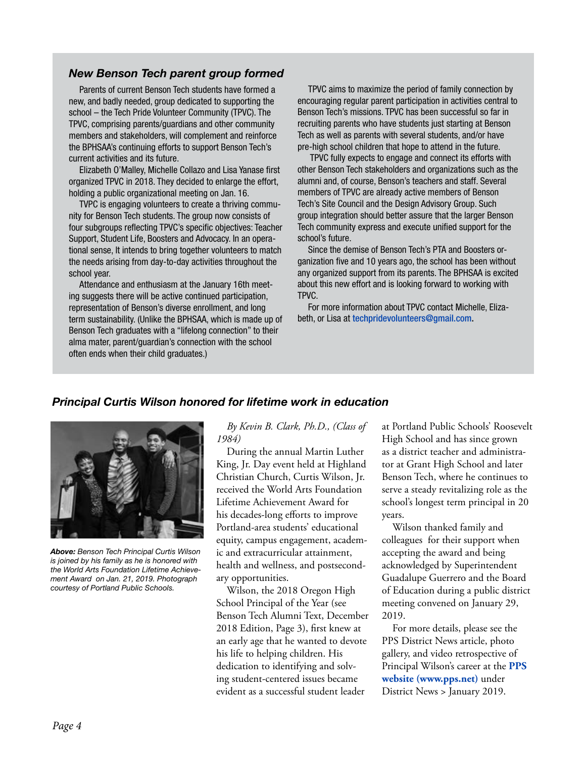#### *New Benson Tech parent group formed*

Parents of current Benson Tech students have formed a new, and badly needed, group dedicated to supporting the school – the Tech Pride Volunteer Community (TPVC). The TPVC, comprising parents/guardians and other community members and stakeholders, will complement and reinforce the BPHSAA's continuing efforts to support Benson Tech's current activities and its future.

Elizabeth O'Malley, Michelle Collazo and Lisa Yanase first organized TPVC in 2018. They decided to enlarge the effort, holding a public organizational meeting on Jan. 16.

TVPC is engaging volunteers to create a thriving community for Benson Tech students. The group now consists of four subgroups reflecting TPVC's specific objectives: Teacher Support, Student Life, Boosters and Advocacy. In an operational sense, It intends to bring together volunteers to match the needs arising from day-to-day activities throughout the school year.

Attendance and enthusiasm at the January 16th meeting suggests there will be active continued participation, representation of Benson's diverse enrollment, and long term sustainability. (Unlike the BPHSAA, which is made up of Benson Tech graduates with a "lifelong connection" to their alma mater, parent/guardian's connection with the school often ends when their child graduates.)

TPVC aims to maximize the period of family connection by encouraging regular parent participation in activities central to Benson Tech's missions. TPVC has been successful so far in recruiting parents who have students just starting at Benson Tech as well as parents with several students, and/or have pre-high school children that hope to attend in the future.

 TPVC fully expects to engage and connect its efforts with other Benson Tech stakeholders and organizations such as the alumni and, of course, Benson's teachers and staff. Several members of TPVC are already active members of Benson Tech's Site Council and the Design Advisory Group. Such group integration should better assure that the larger Benson Tech community express and execute unified support for the school's future.

Since the demise of Benson Tech's PTA and Boosters organization five and 10 years ago, the school has been without any organized support from its parents. The BPHSAA is excited about this new effort and is looking forward to working with TPVC.

For more information about TPVC contact Michelle, Elizabeth, or Lisa at [techpridevolunteers@gmail.com.](mailto:techpridevolunteers%40gmail.com?subject=)

#### *Principal Curtis Wilson honored for lifetime work in education*



*Above: Benson Tech Principal Curtis Wilson is joined by his family as he is honored with the World Arts Foundation Lifetime Achievement Award on Jan. 21, 2019. Photograph courtesy of Portland Public Schools.*

*By Kevin B. Clark, Ph.D., (Class of 1984)*

During the annual Martin Luther King, Jr. Day event held at Highland Christian Church, Curtis Wilson, Jr. received the World Arts Foundation Lifetime Achievement Award for his decades-long efforts to improve Portland-area students' educational equity, campus engagement, academic and extracurricular attainment, health and wellness, and postsecondary opportunities.

Wilson, the 2018 Oregon High School Principal of the Year (see Benson Tech Alumni Text, December 2018 Edition, Page 3), first knew at an early age that he wanted to devote his life to helping children. His dedication to identifying and solving student-centered issues became evident as a successful student leader

at Portland Public Schools' Roosevelt High School and has since grown as a district teacher and administrator at Grant High School and later Benson Tech, where he continues to serve a steady revitalizing role as the school's longest term principal in 20 years.

Wilson thanked family and colleagues for their support when accepting the award and being acknowledged by Superintendent Guadalupe Guerrero and the Board of Education during a public district meeting convened on January 29, 2019.

For more details, please see the PPS District News article, photo gallery, and video retrospective of Principal Wilson's career at the **[PPS](https://www.pps.net)  [website \(www.pps.net\)](https://www.pps.net)** under District News > January 2019.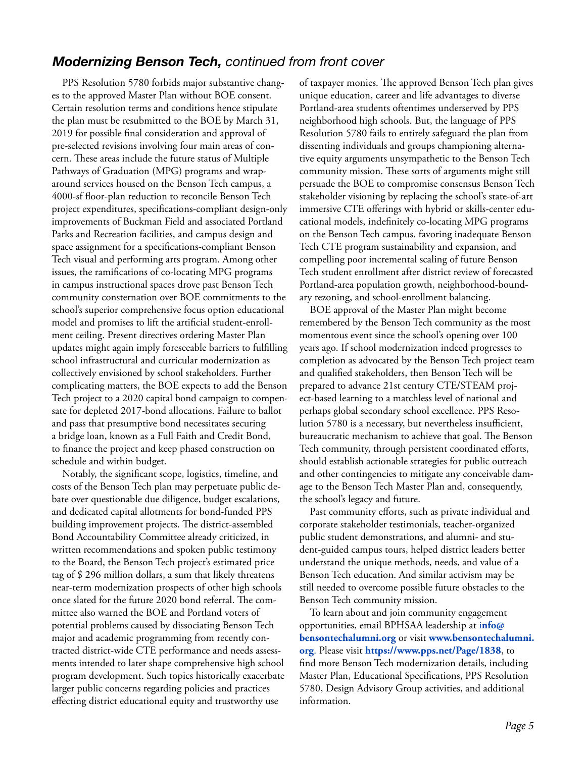## *Modernizing Benson Tech, continued from front cover*

PPS Resolution 5780 forbids major substantive changes to the approved Master Plan without BOE consent. Certain resolution terms and conditions hence stipulate the plan must be resubmitted to the BOE by March 31, 2019 for possible final consideration and approval of pre-selected revisions involving four main areas of concern. These areas include the future status of Multiple Pathways of Graduation (MPG) programs and wraparound services housed on the Benson Tech campus, a 4000-sf floor-plan reduction to reconcile Benson Tech project expenditures, specifications-compliant design-only improvements of Buckman Field and associated Portland Parks and Recreation facilities, and campus design and space assignment for a specifications-compliant Benson Tech visual and performing arts program. Among other issues, the ramifications of co-locating MPG programs in campus instructional spaces drove past Benson Tech community consternation over BOE commitments to the school's superior comprehensive focus option educational model and promises to lift the artificial student-enrollment ceiling. Present directives ordering Master Plan updates might again imply foreseeable barriers to fulfilling school infrastructural and curricular modernization as collectively envisioned by school stakeholders. Further complicating matters, the BOE expects to add the Benson Tech project to a 2020 capital bond campaign to compensate for depleted 2017-bond allocations. Failure to ballot and pass that presumptive bond necessitates securing a bridge loan, known as a Full Faith and Credit Bond, to finance the project and keep phased construction on schedule and within budget.

Notably, the significant scope, logistics, timeline, and costs of the Benson Tech plan may perpetuate public debate over questionable due diligence, budget escalations, and dedicated capital allotments for bond-funded PPS building improvement projects. The district-assembled Bond Accountability Committee already criticized, in written recommendations and spoken public testimony to the Board, the Benson Tech project's estimated price tag of \$ 296 million dollars, a sum that likely threatens near-term modernization prospects of other high schools once slated for the future 2020 bond referral. The committee also warned the BOE and Portland voters of potential problems caused by dissociating Benson Tech major and academic programming from recently contracted district-wide CTE performance and needs assessments intended to later shape comprehensive high school program development. Such topics historically exacerbate larger public concerns regarding policies and practices effecting district educational equity and trustworthy use

of taxpayer monies. The approved Benson Tech plan gives unique education, career and life advantages to diverse Portland-area students oftentimes underserved by PPS neighborhood high schools. But, the language of PPS Resolution 5780 fails to entirely safeguard the plan from dissenting individuals and groups championing alternative equity arguments unsympathetic to the Benson Tech community mission. These sorts of arguments might still persuade the BOE to compromise consensus Benson Tech stakeholder visioning by replacing the school's state-of-art immersive CTE offerings with hybrid or skills-center educational models, indefinitely co-locating MPG programs on the Benson Tech campus, favoring inadequate Benson Tech CTE program sustainability and expansion, and compelling poor incremental scaling of future Benson Tech student enrollment after district review of forecasted Portland-area population growth, neighborhood-boundary rezoning, and school-enrollment balancing.

BOE approval of the Master Plan might become remembered by the Benson Tech community as the most momentous event since the school's opening over 100 years ago. If school modernization indeed progresses to completion as advocated by the Benson Tech project team and qualified stakeholders, then Benson Tech will be prepared to advance 21st century CTE/STEAM project-based learning to a matchless level of national and perhaps global secondary school excellence. PPS Resolution 5780 is a necessary, but nevertheless insufficient, bureaucratic mechanism to achieve that goal. The Benson Tech community, through persistent coordinated efforts, should establish actionable strategies for public outreach and other contingencies to mitigate any conceivable damage to the Benson Tech Master Plan and, consequently, the school's legacy and future.

Past community efforts, such as private individual and corporate stakeholder testimonials, teacher-organized public student demonstrations, and alumni- and student-guided campus tours, helped district leaders better understand the unique methods, needs, and value of a Benson Tech education. And similar activism may be still needed to overcome possible future obstacles to the Benson Tech community mission.

To learn about and join community engagement opportunities, email BPHSAA leadership at i**[nfo@](mailto:info%40bensontechalumni.org?subject=) [bensontechalumni.org](mailto:info%40bensontechalumni.org?subject=)** or visit **[www.bensontechalumni.](http://www.bensontechalumni.org/) [org](http://www.bensontechalumni.org/)**. Please visit **<https://www.pps.net/Page/1838>**, to find more Benson Tech modernization details, including Master Plan, Educational Specifications, PPS Resolution 5780, Design Advisory Group activities, and additional information.